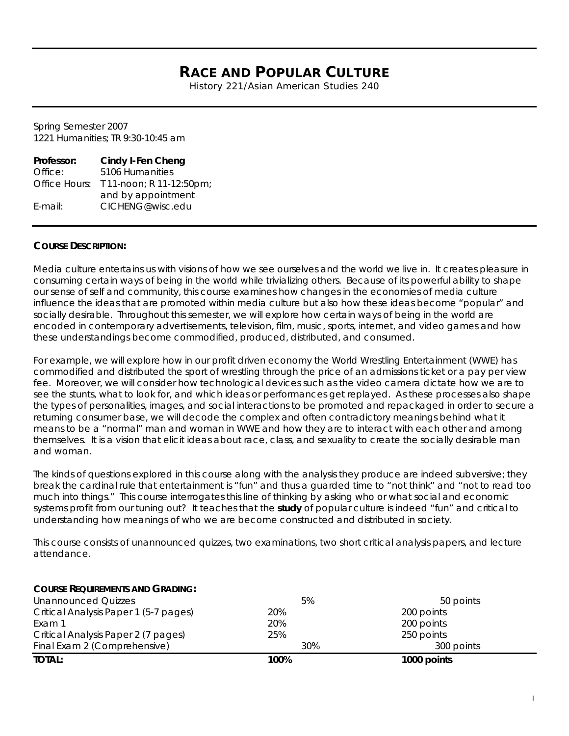# **RACE AND POPULAR CULTURE**

History 221/Asian American Studies 240

Spring Semester 2007 1221 Humanities; TR 9:30-10:45 am

| Professor:    | <b>Cindy I-Fen Cheng</b> |
|---------------|--------------------------|
| Office:       | 5106 Humanities          |
| Office Hours: | T 11-noon; R 11-12:50pm; |
|               | and by appointment       |
| $E$ -mail:    | CICHENG@wisc.edu         |

# **COURSE DESCRIPTION:**

Media culture entertains us with visions of how we see ourselves and the world we live in. It creates pleasure in consuming certain ways of being in the world while trivializing others. Because of its powerful ability to shape our sense of self and community, this course examines how changes in the economies of media culture influence the ideas that are promoted within media culture but also how these ideas become "popular" and socially desirable. Throughout this semester, we will explore how certain ways of being in the world are encoded in contemporary advertisements, television, film, music, sports, internet, and video games and how these understandings become commodified, produced, distributed, and consumed.

For example, we will explore how in our profit driven economy the World Wrestling Entertainment (WWE) has commodified and distributed the sport of wrestling through the price of an admissions ticket or a pay per view fee. Moreover, we will consider how technological devices such as the video camera dictate how we are to see the stunts, what to look for, and which ideas or performances get replayed. As these processes also shape the types of personalities, images, and social interactions to be promoted and repackaged in order to secure a returning consumer base, we will decode the complex and often contradictory meanings behind what it means to be a "normal" man and woman in WWE and how they are to interact with each other and among themselves. It is a vision that elicit ideas about race, class, and sexuality to create the socially desirable man and woman.

The kinds of questions explored in this course along with the analysis they produce are indeed subversive; they break the cardinal rule that entertainment is "fun" and thus a guarded time to "not think" and "not to read too much into things." This course interrogates this line of thinking by asking who or what social and economic systems profit from our tuning out? It teaches that the *study* of popular culture is indeed "fun" and critical to understanding how meanings of who we are become constructed and distributed in society.

This course consists of unannounced quizzes, two examinations, two short critical analysis papers, and lecture attendance.

# **COURSE REQUIREMENTS AND GRADING:**

| <b>Unannounced Quizzes</b>            | 5%   | 50 points   |  |
|---------------------------------------|------|-------------|--|
| Critical Analysis Paper 1 (5-7 pages) | 20%  | 200 points  |  |
| Exam 1                                | 20%  | 200 points  |  |
| Critical Analysis Paper 2 (7 pages)   | 25%  | 250 points  |  |
| Final Exam 2 (Comprehensive)          | 30%  | 300 points  |  |
| <b>TOTAL:</b>                         | 100% | 1000 points |  |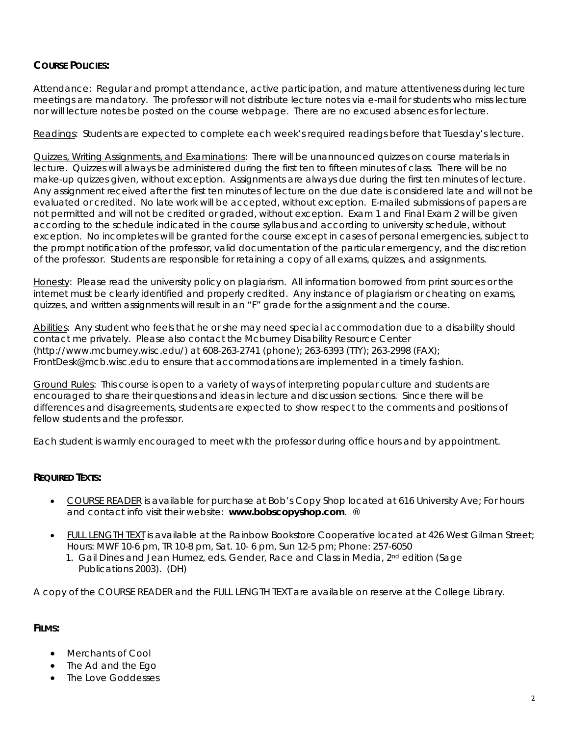# **COURSE POLICIES:**

Attendance: Regular and prompt attendance, active participation, and mature attentiveness during lecture meetings are mandatory. The professor will not distribute lecture notes via e-mail for students who miss lecture nor will lecture notes be posted on the course webpage. There are no excused absences for lecture.

Readings: Students are expected to complete each week's required readings before that Tuesday's lecture.

Quizzes, Writing Assignments, and Examinations: There will be unannounced quizzes on course materials in lecture. Quizzes will always be administered during the first ten to fifteen minutes of class. There will be no make-up quizzes given, without exception. Assignments are always due during the first ten minutes of lecture. Any assignment received after the first ten minutes of lecture on the due date is considered late and will not be evaluated or credited. No late work will be accepted, without exception. E-mailed submissions of papers are not permitted and will not be credited or graded, without exception. Exam 1 and Final Exam 2 will be given according to the schedule indicated in the course syllabus and according to university schedule, without exception. No incompletes will be granted for the course except in cases of personal emergencies, subject to the prompt notification of the professor, valid documentation of the particular emergency, and the discretion of the professor. Students are responsible for retaining a copy of all exams, quizzes, and assignments.

Honesty: Please read the university policy on plagiarism. All information borrowed from print sources or the internet must be clearly identified and properly credited. Any instance of plagiarism or cheating on exams, quizzes, and written assignments will result in an "F" grade for the assignment and the course.

Abilities: Any student who feels that he or she may need special accommodation due to a disability should contact me privately. Please also contact the Mcburney Disability Resource Center (http://www.mcburney.wisc.edu/) at 608-263-2741 (phone); 263-6393 (TTY); 263-2998 (FAX); FrontDesk@mcb.wisc.edu to ensure that accommodations are implemented in a timely fashion.

Ground Rules: This course is open to a variety of ways of interpreting popular culture and students are encouraged to share their questions and ideas in lecture and discussion sections. Since there will be differences and disagreements, students are expected to show respect to the comments and positions of fellow students and the professor.

Each student is warmly encouraged to meet with the professor during office hours and by appointment.

# **REQUIRED TEXTS:**

- COURSE READER is available for purchase at Bob's Copy Shop located at 616 University Ave; For hours and contact info visit their website: **www.bobscopyshop.com**. ®
- FULL LENGTH TEXT is available at the Rainbow Bookstore Cooperative located at 426 West Gilman Street; Hours: MWF 10-6 pm, TR 10-8 pm, Sat. 10- 6 pm, Sun 12-5 pm; Phone: 257-6050
	- 1. Gail Dines and Jean Humez, eds. *Gender, Race and Class in Media*, 2nd edition (Sage Publications 2003). (DH)

A copy of the COURSE READER and the FULL LENGTH TEXT are available on reserve at the College Library.

# **FILMS:**

- Merchants of Cool
- The Ad and the Ego
- The Love Goddesses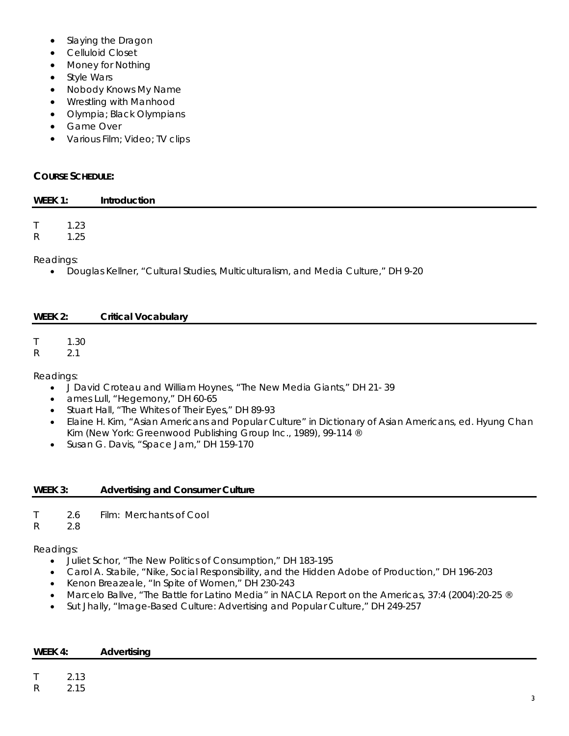- Slaying the Dragon
- Celluloid Closet
- Money for Nothing
- Style Wars
- Nobody Knows My Name
- Wrestling with Manhood
- Olympia; Black Olympians
- Game Over
- Various Film; Video; TV clips

# **COURSE SCHEDULE:**

| WEEK 1:      |      | Introduction |
|--------------|------|--------------|
|              |      |              |
| $\mathsf T$  | 1.23 |              |
| $\mathsf{R}$ | 1.25 |              |
| Readings:    |      |              |

• Douglas Kellner, "Cultural Studies, Multiculturalism, and Media Culture," DH 9-20

# **WEEK 2: Critical Vocabulary**

T 1.30

R 2.1

Readings:

- J David Croteau and William Hoynes, "The New Media Giants," DH 21- 39
- ames Lull, "Hegemony," DH 60-65
- Stuart Hall, "The Whites of Their Eyes," DH 89-93
- Elaine H. Kim, "Asian Americans and Popular Culture" in *Dictionary of Asian Americans,* ed. Hyung Chan Kim (New York: Greenwood Publishing Group Inc., 1989), 99-114 ®
- Susan G. Davis, "Space Jam," DH 159-170

# **WEEK 3: Advertising and Consumer Culture**

- T 2.6 Film: Merchants of Cool
- R 2.8

# Readings:

- Juliet Schor, "The New Politics of Consumption," DH 183-195
- Carol A. Stabile, "Nike, Social Responsibility, and the Hidden Adobe of Production," DH 196-203
- Kenon Breazeale, "In Spite of Women," DH 230-243
- Marcelo Ballve, "The Battle for Latino Media" in *NACLA Report on the Americas*, 37:4 (2004):20-25 ®
- Sut Jhally, "Image-Based Culture: Advertising and Popular Culture," DH 249-257

| WEEK 4: | Advertising |
|---------|-------------|
|---------|-------------|

T 2.13

R 2.15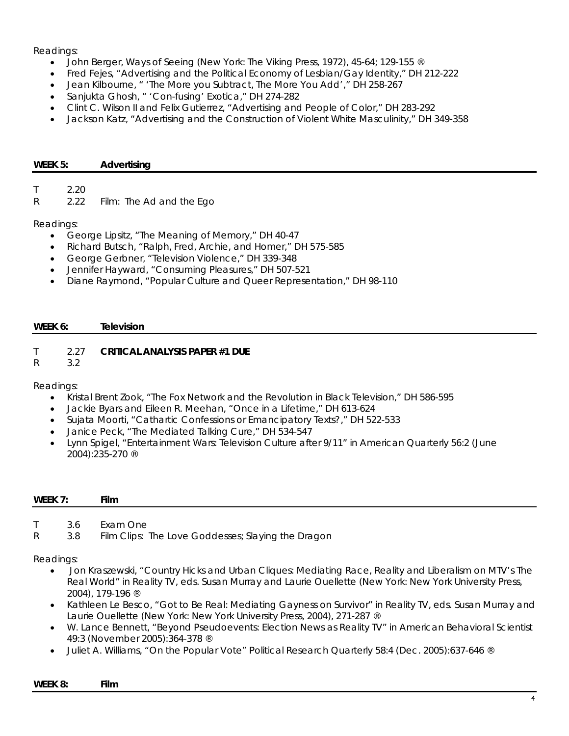# Readings:

- John Berger, *Ways of Seeing* (New York: The Viking Press, 1972), 45-64; 129-155 ®
- Fred Fejes, "Advertising and the Political Economy of Lesbian/Gay Identity," DH 212-222
- Jean Kilbourne, " 'The More you Subtract, The More You Add'," DH 258-267
- Sanjukta Ghosh, " 'Con-fusing' Exotica," DH 274-282
- Clint C. Wilson II and Felix Gutierrez, "Advertising and People of Color," DH 283-292
- Jackson Katz, "Advertising and the Construction of Violent White Masculinity," DH 349-358

#### **WEEK 5: Advertising**

T 2.20

R 2.22 Film: The Ad and the Ego

# Readings:

- George Lipsitz, "The Meaning of Memory," DH 40-47
- Richard Butsch, "Ralph, Fred, Archie, and Homer," DH 575-585
- George Gerbner, "Television Violence," DH 339-348
- Jennifer Hayward, "Consuming Pleasures," DH 507-521
- Diane Raymond, "Popular Culture and Queer Representation," DH 98-110

# **WEEK 6: Television**

# T 2.27 **CRITICAL ANALYSIS PAPER #1 DUE**

R 3.2

Readings:

- Kristal Brent Zook, "The Fox Network and the Revolution in Black Television," DH 586-595
- Jackie Byars and Eileen R. Meehan, "Once in a Lifetime," DH 613-624
- Sujata Moorti, "Cathartic Confessions or Emancipatory Texts?," DH 522-533
- Janice Peck, "The Mediated Talking Cure," DH 534-547
- Lynn Spigel, "Entertainment Wars: Television Culture after 9/11" in *American Quarterly* 56:2 (June 2004):235-270 ®

#### **WEEK 7: Film**

- T 3.6 Exam One
- R 3.8 Film Clips: The Love Goddesses; Slaying the Dragon

Readings:

- Jon Kraszewski, "Country Hicks and Urban Cliques: Mediating Race, Reality and Liberalism on MTV's *The Real World*" in *Reality TV*, eds. Susan Murray and Laurie Ouellette (New York: New York University Press, 2004), 179-196 ®
- Kathleen Le Besco, "Got to Be Real: Mediating Gayness on *Survivor*" in *Reality TV*, eds. Susan Murray and Laurie Ouellette (New York: New York University Press, 2004), 271-287 ®
- W. Lance Bennett, "Beyond Pseudoevents: Election News as Reality TV" in *American Behavioral Scientist* 49:3 (November 2005):364-378 ®
- Juliet A. Williams, "On the Popular Vote" *Political Research Quarterly* 58:4 (Dec. 2005):637-646 ®

#### **WEEK 8: Film**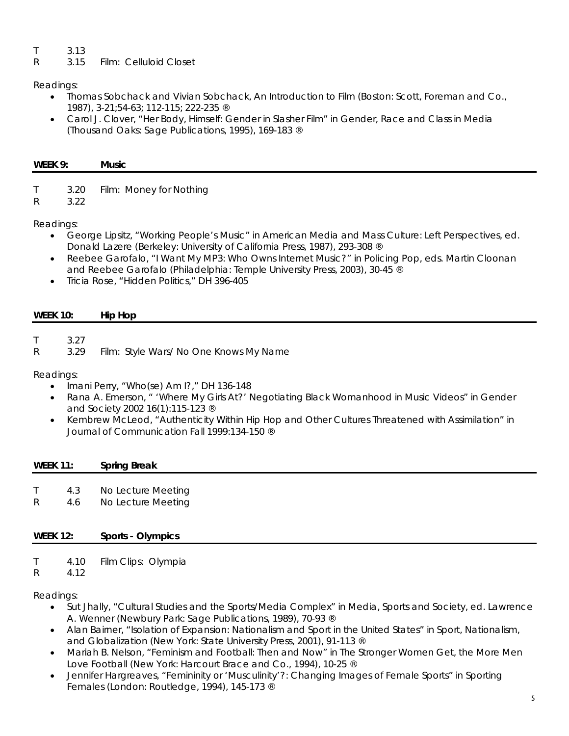- T 3.13
- R 3.15 Film: Celluloid Closet

# Readings:

- Thomas Sobchack and Vivian Sobchack, *An Introduction to Film* (Boston: Scott, Foreman and Co., 1987), 3-21;54-63; 112-115; 222-235 ®
- Carol J. Clover, "Her Body, Himself: Gender in Slasher Film" in *Gender, Race and Class in Media* (Thousand Oaks: Sage Publications, 1995), 169-183 ®

| WEEK 9: | M <sub>II</sub><br>м |
|---------|----------------------|
|         |                      |

- T 3.20 Film: Money for Nothing
- R 3.22

Readings:

- George Lipsitz, "Working People's Music" in *American Media and Mass Culture: Left Perspectives*, ed. Donald Lazere (Berkeley: University of California Press, 1987), 293-308 ®
- Reebee Garofalo, "I Want My MP3: Who Owns Internet Music?" in *Policing Pop*, eds. Martin Cloonan and Reebee Garofalo (Philadelphia: Temple University Press, 2003), 30-45 ®
- Tricia Rose, "Hidden Politics," DH 396-405

# **WEEK 10: Hip Hop**

- T 3.27
- R 3.29 Film: Style Wars/ No One Knows My Name

Readings:

- Imani Perry, "Who(se) Am I?," DH 136-148
- Rana A. Emerson, " 'Where My Girls At?' Negotiating Black Womanhood in Music Videos" in *Gender and Society* 2002 16(1):115-123 ®
- Kembrew McLeod, "Authenticity Within Hip Hop and Other Cultures Threatened with Assimilation" in *Journal of Communication* Fall 1999:134-150 ®

| <b>WEEK 11:</b> |            | <b>Spring Break</b>                      |
|-----------------|------------|------------------------------------------|
| R               | 4.3<br>4.6 | No Lecture Meeting<br>No Lecture Meeting |

# **WEEK 12: Sports - Olympics**

- T 4.10 Film Clips: Olympia
- R 4.12

Readings:

- Sut Jhally, "Cultural Studies and the Sports/Media Complex" in Media, Sports and Society, ed. Lawrence A. Wenner (Newbury Park: Sage Publications, 1989), 70-93 ®
- Alan Bairner, "Isolation of Expansion: Nationalism and Sport in the United States" in *Sport, Nationalism, and Globalization* (New York: State University Press, 2001), 91-113 ®
- Mariah B. Nelson, "Feminism and Football: Then and Now" in *The Stronger Women Get, the More Men Love Football* (New York: Harcourt Brace and Co., 1994), 10-25 ®
- Jennifer Hargreaves, "Femininity or 'Musculinity'?: Changing Images of Female Sports" in *Sporting Females* (London: Routledge, 1994), 145-173 ®